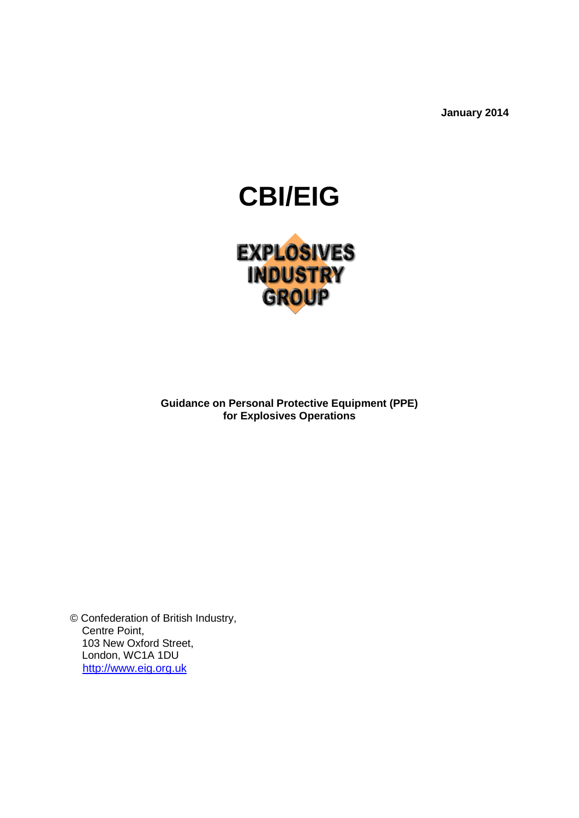**January 2014**

# **CBI/EIG**



**Guidance on Personal Protective Equipment (PPE) for Explosives Operations**

© Confederation of British Industry, Centre Point, 103 New Oxford Street, London, WC1A 1DU [http://www.eig.org.uk](http://www.eig.org.uk/)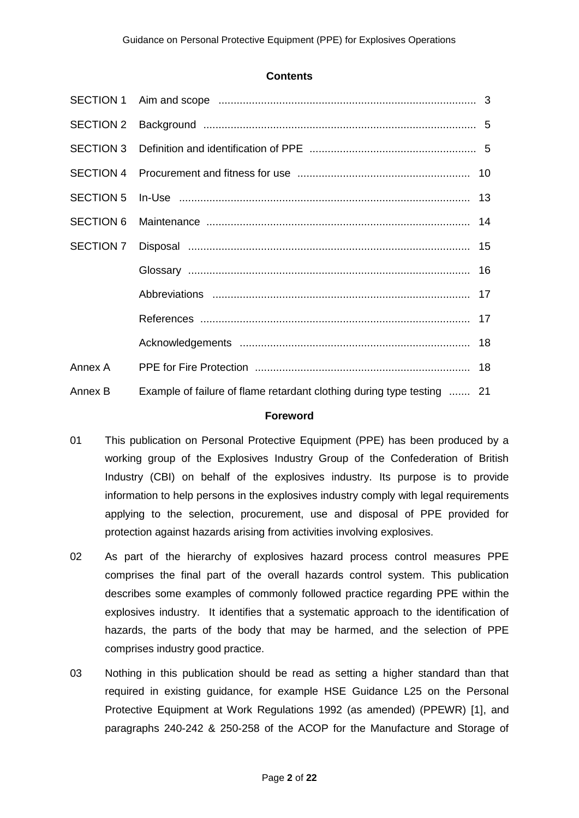#### **Contents**

| <b>SECTION 2</b> |                                                                        |  |
|------------------|------------------------------------------------------------------------|--|
| <b>SECTION 3</b> |                                                                        |  |
| <b>SECTION 4</b> |                                                                        |  |
| <b>SECTION 5</b> |                                                                        |  |
| <b>SECTION 6</b> |                                                                        |  |
| <b>SECTION 7</b> |                                                                        |  |
|                  |                                                                        |  |
|                  |                                                                        |  |
|                  |                                                                        |  |
|                  |                                                                        |  |
| Annex A          |                                                                        |  |
| Annex B          | Example of failure of flame retardant clothing during type testing  21 |  |

#### **Foreword**

- 01 This publication on Personal Protective Equipment (PPE) has been produced by a working group of the Explosives Industry Group of the Confederation of British Industry (CBI) on behalf of the explosives industry. Its purpose is to provide information to help persons in the explosives industry comply with legal requirements applying to the selection, procurement, use and disposal of PPE provided for protection against hazards arising from activities involving explosives.
- 02 As part of the hierarchy of explosives hazard process control measures PPE comprises the final part of the overall hazards control system. This publication describes some examples of commonly followed practice regarding PPE within the explosives industry. It identifies that a systematic approach to the identification of hazards, the parts of the body that may be harmed, and the selection of PPE comprises industry good practice.
- 03 Nothing in this publication should be read as setting a higher standard than that required in existing guidance, for example HSE Guidance L25 on the Personal Protective Equipment at Work Regulations 1992 (as amended) (PPEWR) [1], and paragraphs 240-242 & 250-258 of the ACOP for the Manufacture and Storage of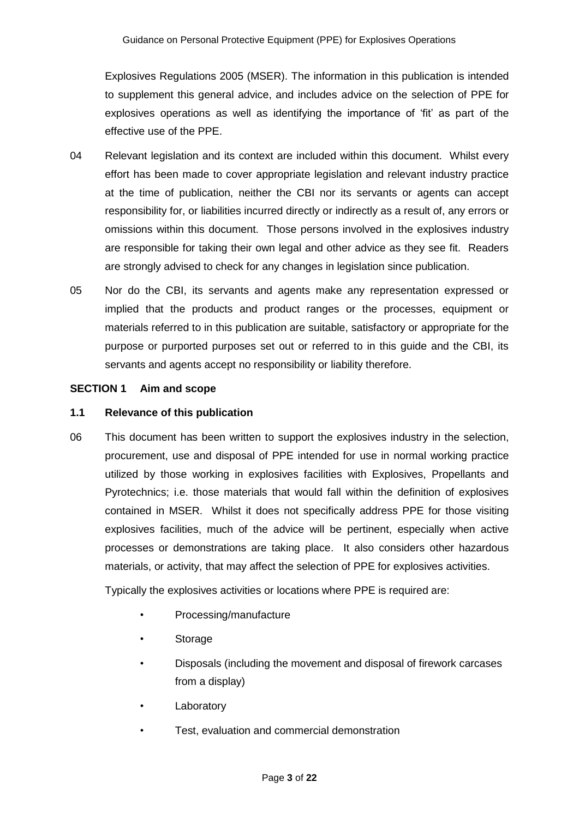Explosives Regulations 2005 (MSER). The information in this publication is intended to supplement this general advice, and includes advice on the selection of PPE for explosives operations as well as identifying the importance of 'fit' as part of the effective use of the PPE.

- 04 Relevant legislation and its context are included within this document. Whilst every effort has been made to cover appropriate legislation and relevant industry practice at the time of publication, neither the CBI nor its servants or agents can accept responsibility for, or liabilities incurred directly or indirectly as a result of, any errors or omissions within this document. Those persons involved in the explosives industry are responsible for taking their own legal and other advice as they see fit. Readers are strongly advised to check for any changes in legislation since publication.
- 05 Nor do the CBI, its servants and agents make any representation expressed or implied that the products and product ranges or the processes, equipment or materials referred to in this publication are suitable, satisfactory or appropriate for the purpose or purported purposes set out or referred to in this guide and the CBI, its servants and agents accept no responsibility or liability therefore.

## **SECTION 1 Aim and scope**

#### **1.1 Relevance of this publication**

06 This document has been written to support the explosives industry in the selection, procurement, use and disposal of PPE intended for use in normal working practice utilized by those working in explosives facilities with Explosives, Propellants and Pyrotechnics; i.e. those materials that would fall within the definition of explosives contained in MSER. Whilst it does not specifically address PPE for those visiting explosives facilities, much of the advice will be pertinent, especially when active processes or demonstrations are taking place. It also considers other hazardous materials, or activity, that may affect the selection of PPE for explosives activities.

Typically the explosives activities or locations where PPE is required are:

- Processing/manufacture
- **Storage**
- Disposals (including the movement and disposal of firework carcases from a display)
- Laboratory
- Test, evaluation and commercial demonstration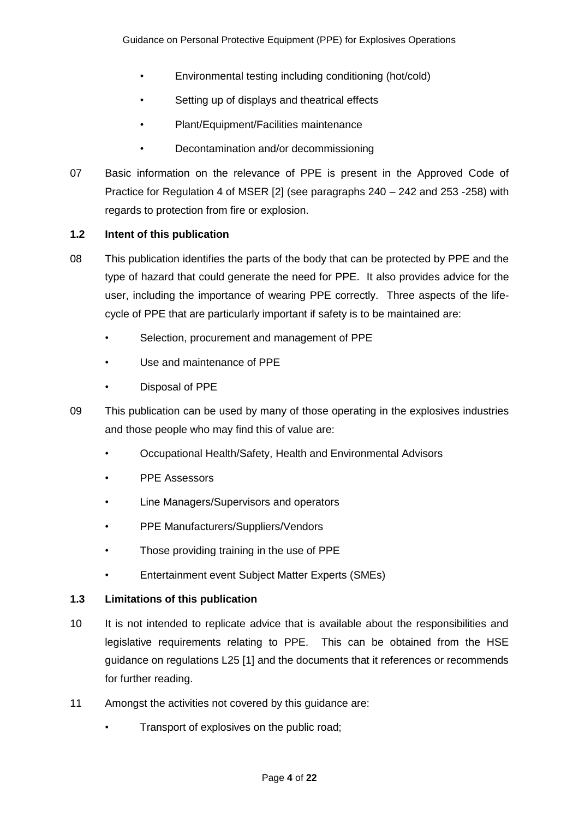- Environmental testing including conditioning (hot/cold)
- Setting up of displays and theatrical effects
- Plant/Equipment/Facilities maintenance
- Decontamination and/or decommissioning
- 07 Basic information on the relevance of PPE is present in the Approved Code of Practice for Regulation 4 of MSER [2] (see paragraphs 240 – 242 and 253 -258) with regards to protection from fire or explosion.

## **1.2 Intent of this publication**

- 08 This publication identifies the parts of the body that can be protected by PPE and the type of hazard that could generate the need for PPE. It also provides advice for the user, including the importance of wearing PPE correctly. Three aspects of the lifecycle of PPE that are particularly important if safety is to be maintained are:
	- Selection, procurement and management of PPE
	- Use and maintenance of PPE
	- Disposal of PPE
- 09 This publication can be used by many of those operating in the explosives industries and those people who may find this of value are:
	- Occupational Health/Safety, Health and Environmental Advisors
	- PPE Assessors
	- Line Managers/Supervisors and operators
	- PPE Manufacturers/Suppliers/Vendors
	- Those providing training in the use of PPE
	- Entertainment event Subject Matter Experts (SMEs)

# **1.3 Limitations of this publication**

- 10 It is not intended to replicate advice that is available about the responsibilities and legislative requirements relating to PPE. This can be obtained from the HSE guidance on regulations L25 [1] and the documents that it references or recommends for further reading.
- 11 Amongst the activities not covered by this guidance are:
	- Transport of explosives on the public road;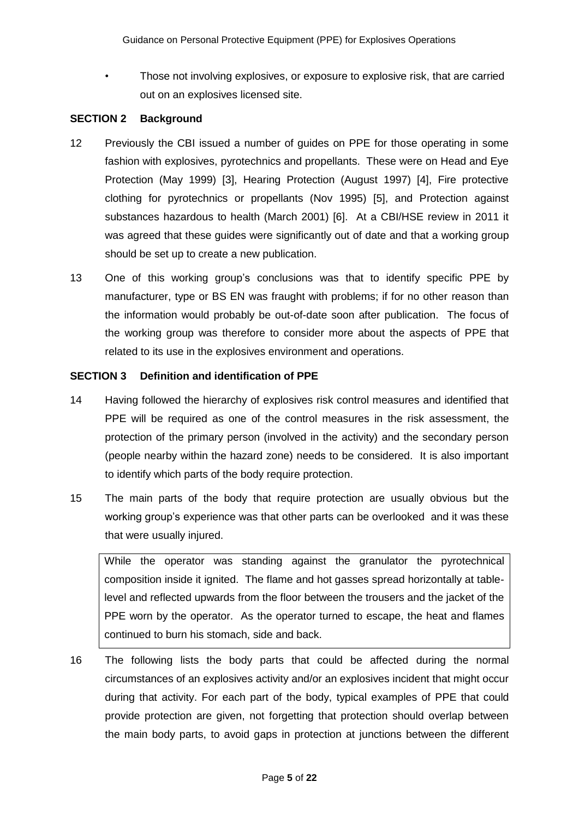• Those not involving explosives, or exposure to explosive risk, that are carried out on an explosives licensed site.

## **SECTION 2 Background**

- 12 Previously the CBI issued a number of guides on PPE for those operating in some fashion with explosives, pyrotechnics and propellants. These were on Head and Eye Protection (May 1999) [3], Hearing Protection (August 1997) [4], Fire protective clothing for pyrotechnics or propellants (Nov 1995) [5], and Protection against substances hazardous to health (March 2001) [6]. At a CBI/HSE review in 2011 it was agreed that these guides were significantly out of date and that a working group should be set up to create a new publication.
- 13 One of this working group's conclusions was that to identify specific PPE by manufacturer, type or BS EN was fraught with problems; if for no other reason than the information would probably be out-of-date soon after publication. The focus of the working group was therefore to consider more about the aspects of PPE that related to its use in the explosives environment and operations.

## **SECTION 3 Definition and identification of PPE**

- 14 Having followed the hierarchy of explosives risk control measures and identified that PPE will be required as one of the control measures in the risk assessment, the protection of the primary person (involved in the activity) and the secondary person (people nearby within the hazard zone) needs to be considered. It is also important to identify which parts of the body require protection.
- 15 The main parts of the body that require protection are usually obvious but the working group's experience was that other parts can be overlooked and it was these that were usually injured.

While the operator was standing against the granulator the pyrotechnical composition inside it ignited. The flame and hot gasses spread horizontally at tablelevel and reflected upwards from the floor between the trousers and the jacket of the PPE worn by the operator. As the operator turned to escape, the heat and flames continued to burn his stomach, side and back.

16 The following lists the body parts that could be affected during the normal circumstances of an explosives activity and/or an explosives incident that might occur during that activity. For each part of the body, typical examples of PPE that could provide protection are given, not forgetting that protection should overlap between the main body parts, to avoid gaps in protection at junctions between the different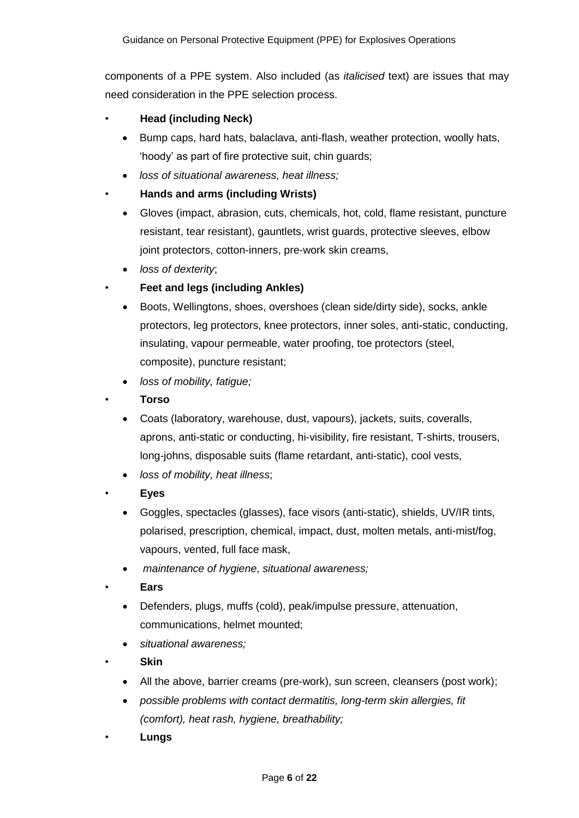components of a PPE system. Also included (as *italicised* text) are issues that may need consideration in the PPE selection process.

- **Head (including Neck)**
	- Bump caps, hard hats, balaclava, anti-flash, weather protection, woolly hats, 'hoody' as part of fire protective suit, chin guards;
	- *loss of situational awareness, heat illness;*
	- **Hands and arms (including Wrists)**
		- Gloves (impact, abrasion, cuts, chemicals, hot, cold, flame resistant, puncture resistant, tear resistant), gauntlets, wrist guards, protective sleeves, elbow joint protectors, cotton-inners, pre-work skin creams,
		- *loss of dexterity*;

## • **Feet and legs (including Ankles)**

- Boots, Wellingtons, shoes, overshoes (clean side/dirty side), socks, ankle protectors, leg protectors, knee protectors, inner soles, anti-static, conducting, insulating, vapour permeable, water proofing, toe protectors (steel, composite), puncture resistant;
- *loss of mobility, fatigue;*
- **Torso**
	- Coats (laboratory, warehouse, dust, vapours), jackets, suits, coveralls, aprons, anti-static or conducting, hi-visibility, fire resistant, T-shirts, trousers, long-johns, disposable suits (flame retardant, anti-static), cool vests,
	- *loss of mobility, heat illness*;
- **Eyes**
	- Goggles, spectacles (glasses), face visors (anti-static), shields, UV/IR tints, polarised, prescription, chemical, impact, dust, molten metals, anti-mist/fog, vapours, vented, full face mask,
	- *maintenance of hygiene*, *situational awareness;*
- **Ears**
	- Defenders, plugs, muffs (cold), peak/impulse pressure, attenuation, communications, helmet mounted;
	- *situational awareness;*
- **Skin**
	- All the above, barrier creams (pre-work), sun screen, cleansers (post work);
	- *possible problems with contact dermatitis, long-term skin allergies, fit (comfort), heat rash, hygiene, breathability;*
- **Lungs**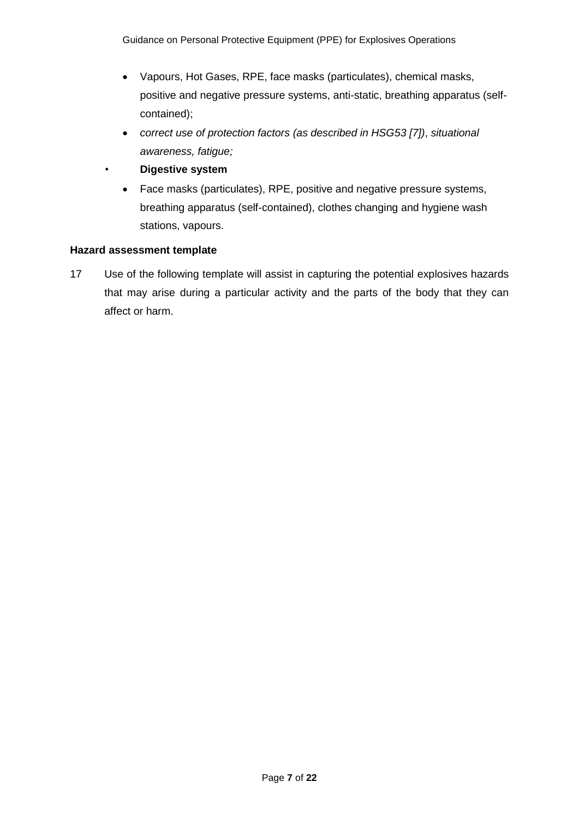- Vapours, Hot Gases, RPE, face masks (particulates), chemical masks, positive and negative pressure systems, anti-static, breathing apparatus (selfcontained);
- *correct use of protection factors (as described in HSG53 [7])*, *situational awareness, fatigue;*
- **Digestive system**
	- Face masks (particulates), RPE, positive and negative pressure systems, breathing apparatus (self-contained), clothes changing and hygiene wash stations, vapours.

#### **Hazard assessment template**

17 Use of the following template will assist in capturing the potential explosives hazards that may arise during a particular activity and the parts of the body that they can affect or harm.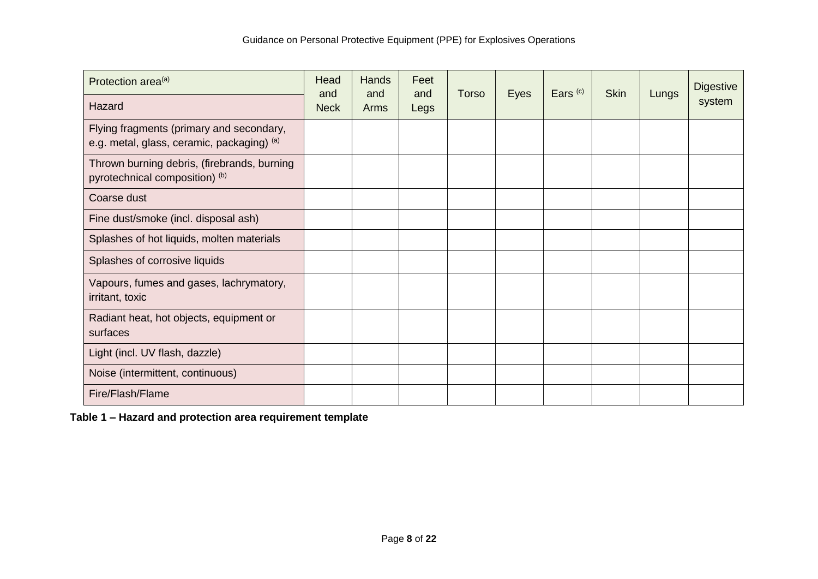| Protection area <sup>(a)</sup><br>Hazard                                               | Head<br>and<br><b>Neck</b> | Hands<br>and<br>Arms | Feet<br>and<br>Legs | Torso | Eyes | Ears <sup>(c)</sup> | <b>Skin</b> | Lungs | <b>Digestive</b><br>system |
|----------------------------------------------------------------------------------------|----------------------------|----------------------|---------------------|-------|------|---------------------|-------------|-------|----------------------------|
| Flying fragments (primary and secondary,<br>e.g. metal, glass, ceramic, packaging) (a) |                            |                      |                     |       |      |                     |             |       |                            |
| Thrown burning debris, (firebrands, burning<br>pyrotechnical composition) (b)          |                            |                      |                     |       |      |                     |             |       |                            |
| Coarse dust                                                                            |                            |                      |                     |       |      |                     |             |       |                            |
| Fine dust/smoke (incl. disposal ash)                                                   |                            |                      |                     |       |      |                     |             |       |                            |
| Splashes of hot liquids, molten materials                                              |                            |                      |                     |       |      |                     |             |       |                            |
| Splashes of corrosive liquids                                                          |                            |                      |                     |       |      |                     |             |       |                            |
| Vapours, fumes and gases, lachrymatory,<br>irritant, toxic                             |                            |                      |                     |       |      |                     |             |       |                            |
| Radiant heat, hot objects, equipment or<br>surfaces                                    |                            |                      |                     |       |      |                     |             |       |                            |
| Light (incl. UV flash, dazzle)                                                         |                            |                      |                     |       |      |                     |             |       |                            |
| Noise (intermittent, continuous)                                                       |                            |                      |                     |       |      |                     |             |       |                            |
| Fire/Flash/Flame                                                                       |                            |                      |                     |       |      |                     |             |       |                            |

**Table 1 – Hazard and protection area requirement template**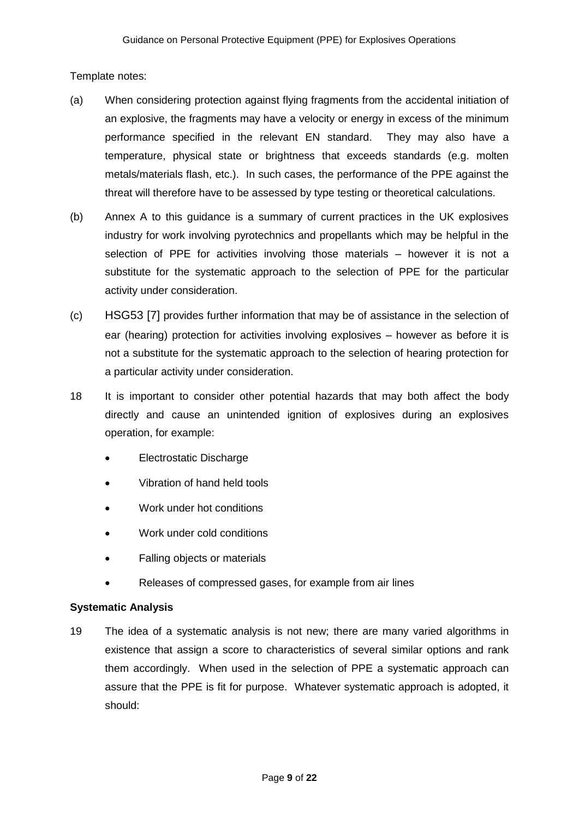Template notes:

- (a) When considering protection against flying fragments from the accidental initiation of an explosive, the fragments may have a velocity or energy in excess of the minimum performance specified in the relevant EN standard. They may also have a temperature, physical state or brightness that exceeds standards (e.g. molten metals/materials flash, etc.). In such cases, the performance of the PPE against the threat will therefore have to be assessed by type testing or theoretical calculations.
- (b) Annex A to this guidance is a summary of current practices in the UK explosives industry for work involving pyrotechnics and propellants which may be helpful in the selection of PPE for activities involving those materials – however it is not a substitute for the systematic approach to the selection of PPE for the particular activity under consideration.
- (c) HSG53 [7] provides further information that may be of assistance in the selection of ear (hearing) protection for activities involving explosives – however as before it is not a substitute for the systematic approach to the selection of hearing protection for a particular activity under consideration.
- 18 It is important to consider other potential hazards that may both affect the body directly and cause an unintended ignition of explosives during an explosives operation, for example:
	- Electrostatic Discharge
	- Vibration of hand held tools
	- Work under hot conditions
	- Work under cold conditions
	- Falling objects or materials
	- Releases of compressed gases, for example from air lines

#### **Systematic Analysis**

19 The idea of a systematic analysis is not new; there are many varied algorithms in existence that assign a score to characteristics of several similar options and rank them accordingly. When used in the selection of PPE a systematic approach can assure that the PPE is fit for purpose. Whatever systematic approach is adopted, it should: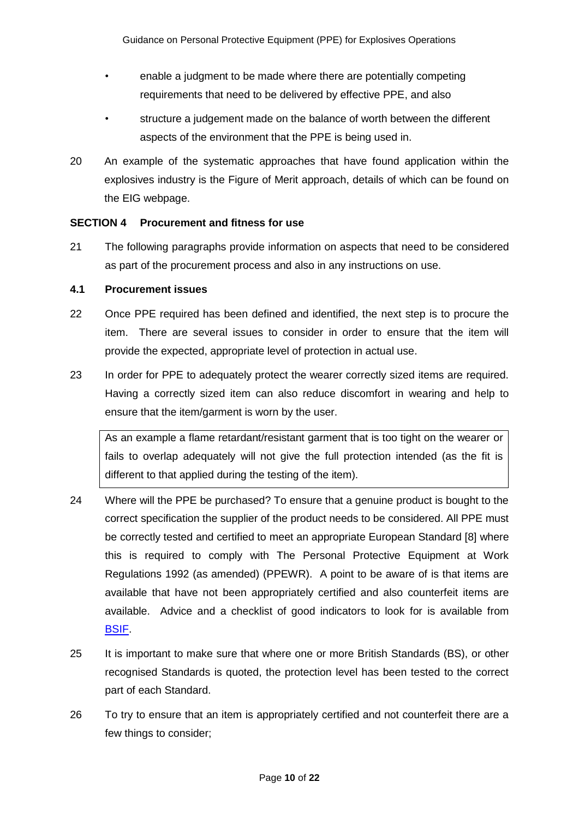- enable a judgment to be made where there are potentially competing requirements that need to be delivered by effective PPE, and also
- structure a judgement made on the balance of worth between the different aspects of the environment that the PPE is being used in.
- 20 An example of the systematic approaches that have found application within the explosives industry is the Figure of Merit approach, details of which can be found on the EIG webpage.

#### **SECTION 4 Procurement and fitness for use**

21 The following paragraphs provide information on aspects that need to be considered as part of the procurement process and also in any instructions on use.

#### **4.1 Procurement issues**

- 22 Once PPE required has been defined and identified, the next step is to procure the item. There are several issues to consider in order to ensure that the item will provide the expected, appropriate level of protection in actual use.
- 23 In order for PPE to adequately protect the wearer correctly sized items are required. Having a correctly sized item can also reduce discomfort in wearing and help to ensure that the item/garment is worn by the user.

As an example a flame retardant/resistant garment that is too tight on the wearer or fails to overlap adequately will not give the full protection intended (as the fit is different to that applied during the testing of the item).

- 24 Where will the PPE be purchased? To ensure that a genuine product is bought to the correct specification the supplier of the product needs to be considered. All PPE must be correctly tested and certified to meet an appropriate European Standard [8] where this is required to comply with The Personal Protective Equipment at Work Regulations 1992 (as amended) (PPEWR). A point to be aware of is that items are available that have not been appropriately certified and also counterfeit items are available. Advice and a checklist of good indicators to look for is available from [BSIF.](http://www.bsif.co.uk/en-149)
- 25 It is important to make sure that where one or more British Standards (BS), or other recognised Standards is quoted, the protection level has been tested to the correct part of each Standard.
- 26 To try to ensure that an item is appropriately certified and not counterfeit there are a few things to consider;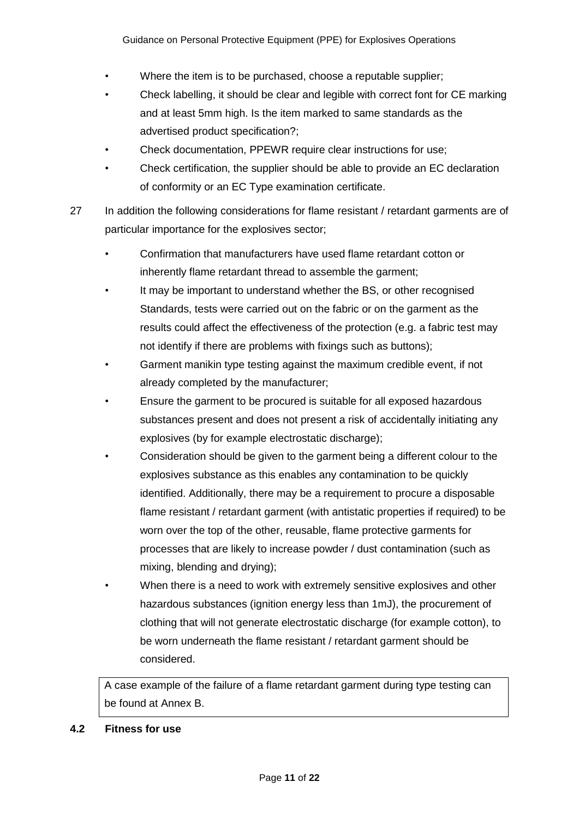- Where the item is to be purchased, choose a reputable supplier;
- Check labelling, it should be clear and legible with correct font for CE marking and at least 5mm high. Is the item marked to same standards as the advertised product specification?;
- Check documentation, PPEWR require clear instructions for use;
- Check certification, the supplier should be able to provide an EC declaration of conformity or an EC Type examination certificate.
- 27 In addition the following considerations for flame resistant / retardant garments are of particular importance for the explosives sector;
	- Confirmation that manufacturers have used flame retardant cotton or inherently flame retardant thread to assemble the garment;
	- It may be important to understand whether the BS, or other recognised Standards, tests were carried out on the fabric or on the garment as the results could affect the effectiveness of the protection (e.g. a fabric test may not identify if there are problems with fixings such as buttons);
	- Garment manikin type testing against the maximum credible event, if not already completed by the manufacturer;
	- Ensure the garment to be procured is suitable for all exposed hazardous substances present and does not present a risk of accidentally initiating any explosives (by for example electrostatic discharge);
	- Consideration should be given to the garment being a different colour to the explosives substance as this enables any contamination to be quickly identified. Additionally, there may be a requirement to procure a disposable flame resistant / retardant garment (with antistatic properties if required) to be worn over the top of the other, reusable, flame protective garments for processes that are likely to increase powder / dust contamination (such as mixing, blending and drying);
	- When there is a need to work with extremely sensitive explosives and other hazardous substances (ignition energy less than 1mJ), the procurement of clothing that will not generate electrostatic discharge (for example cotton), to be worn underneath the flame resistant / retardant garment should be considered.

A case example of the failure of a flame retardant garment during type testing can be found at Annex B.

#### **4.2 Fitness for use**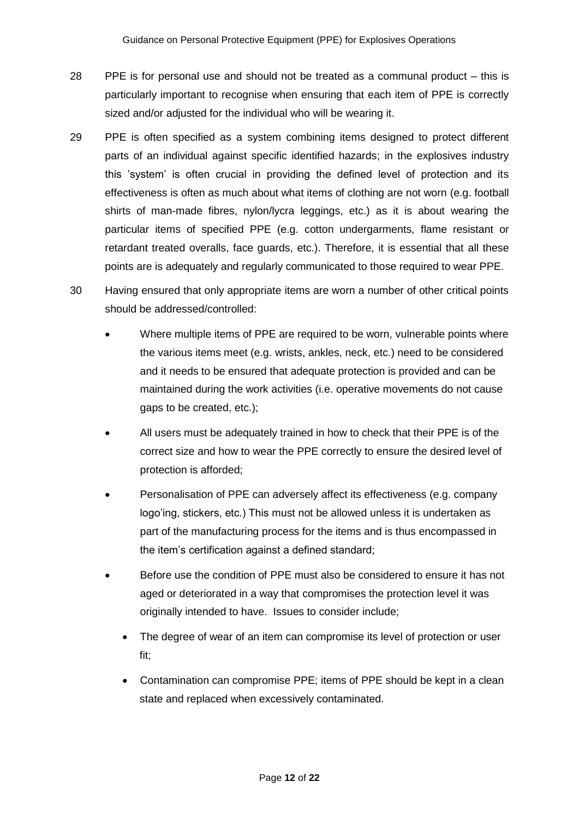- 28 PPE is for personal use and should not be treated as a communal product this is particularly important to recognise when ensuring that each item of PPE is correctly sized and/or adjusted for the individual who will be wearing it.
- 29 PPE is often specified as a system combining items designed to protect different parts of an individual against specific identified hazards; in the explosives industry this 'system' is often crucial in providing the defined level of protection and its effectiveness is often as much about what items of clothing are not worn (e.g. football shirts of man-made fibres, nylon/lycra leggings, etc.) as it is about wearing the particular items of specified PPE (e.g. cotton undergarments, flame resistant or retardant treated overalls, face guards, etc.). Therefore, it is essential that all these points are is adequately and regularly communicated to those required to wear PPE.
- 30 Having ensured that only appropriate items are worn a number of other critical points should be addressed/controlled:
	- Where multiple items of PPE are required to be worn, vulnerable points where the various items meet (e.g. wrists, ankles, neck, etc.) need to be considered and it needs to be ensured that adequate protection is provided and can be maintained during the work activities (i.e. operative movements do not cause gaps to be created, etc.);
	- All users must be adequately trained in how to check that their PPE is of the correct size and how to wear the PPE correctly to ensure the desired level of protection is afforded;
	- Personalisation of PPE can adversely affect its effectiveness (e.g. company logo'ing, stickers, etc.) This must not be allowed unless it is undertaken as part of the manufacturing process for the items and is thus encompassed in the item's certification against a defined standard;
	- Before use the condition of PPE must also be considered to ensure it has not aged or deteriorated in a way that compromises the protection level it was originally intended to have. Issues to consider include;
		- The degree of wear of an item can compromise its level of protection or user fit;
		- Contamination can compromise PPE; items of PPE should be kept in a clean state and replaced when excessively contaminated.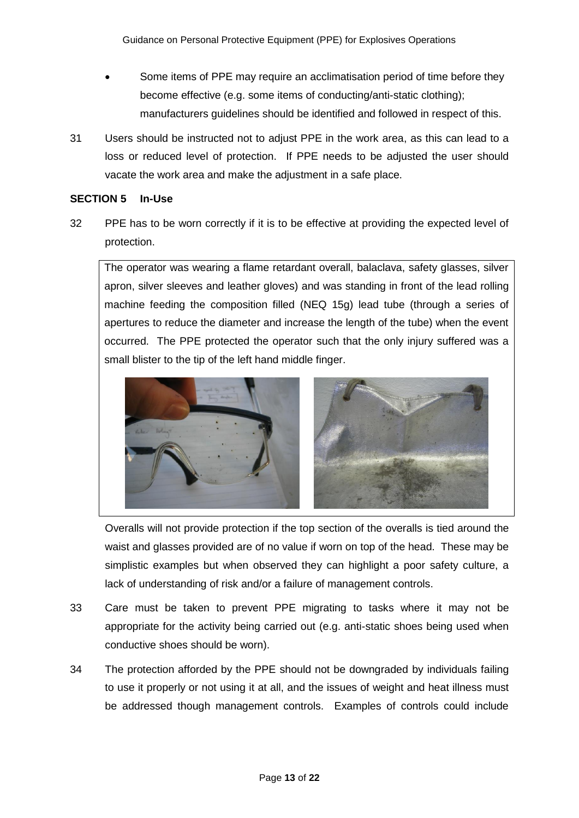- Some items of PPE may require an acclimatisation period of time before they become effective (e.g. some items of conducting/anti-static clothing); manufacturers guidelines should be identified and followed in respect of this.
- 31 Users should be instructed not to adjust PPE in the work area, as this can lead to a loss or reduced level of protection. If PPE needs to be adjusted the user should vacate the work area and make the adjustment in a safe place.

#### **SECTION 5 In-Use**

32 PPE has to be worn correctly if it is to be effective at providing the expected level of protection.

The operator was wearing a flame retardant overall, balaclava, safety glasses, silver apron, silver sleeves and leather gloves) and was standing in front of the lead rolling machine feeding the composition filled (NEQ 15g) lead tube (through a series of apertures to reduce the diameter and increase the length of the tube) when the event occurred. The PPE protected the operator such that the only injury suffered was a small blister to the tip of the left hand middle finger.



Overalls will not provide protection if the top section of the overalls is tied around the waist and glasses provided are of no value if worn on top of the head. These may be simplistic examples but when observed they can highlight a poor safety culture, a lack of understanding of risk and/or a failure of management controls.

- 33 Care must be taken to prevent PPE migrating to tasks where it may not be appropriate for the activity being carried out (e.g. anti-static shoes being used when conductive shoes should be worn).
- 34 The protection afforded by the PPE should not be downgraded by individuals failing to use it properly or not using it at all, and the issues of weight and heat illness must be addressed though management controls. Examples of controls could include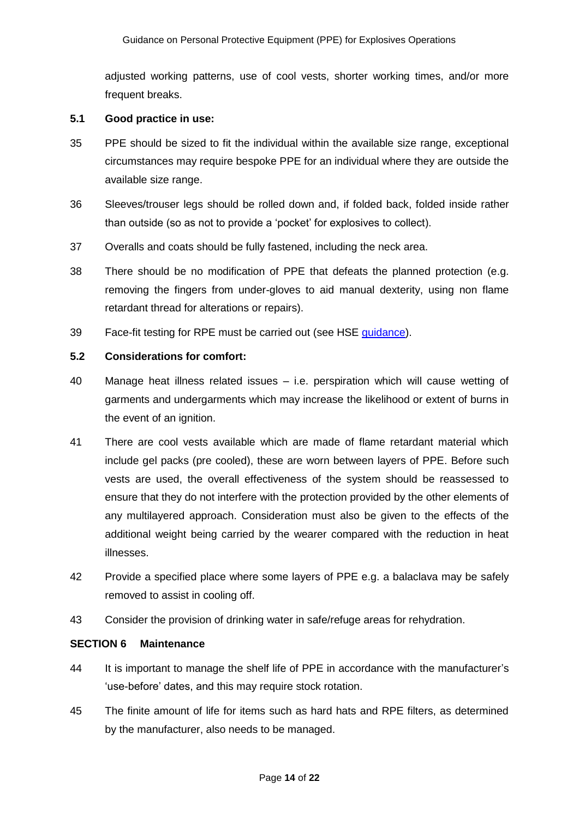adjusted working patterns, use of cool vests, shorter working times, and/or more frequent breaks.

#### **5.1 Good practice in use:**

- 35 PPE should be sized to fit the individual within the available size range, exceptional circumstances may require bespoke PPE for an individual where they are outside the available size range.
- 36 Sleeves/trouser legs should be rolled down and, if folded back, folded inside rather than outside (so as not to provide a 'pocket' for explosives to collect).
- 37 Overalls and coats should be fully fastened, including the neck area.
- 38 There should be no modification of PPE that defeats the planned protection (e.g. removing the fingers from under-gloves to aid manual dexterity, using non flame retardant thread for alterations or repairs).
- 39 Face-fit testing for RPE must be carried out (see HSE [guidance\)](http://www.hse.gov.uk/respiratory-protective-equipment/fit-testing-basics.htm).

### **5.2 Considerations for comfort:**

- 40 Manage heat illness related issues i.e. perspiration which will cause wetting of garments and undergarments which may increase the likelihood or extent of burns in the event of an ignition.
- 41 There are cool vests available which are made of flame retardant material which include gel packs (pre cooled), these are worn between layers of PPE. Before such vests are used, the overall effectiveness of the system should be reassessed to ensure that they do not interfere with the protection provided by the other elements of any multilayered approach. Consideration must also be given to the effects of the additional weight being carried by the wearer compared with the reduction in heat illnesses.
- 42 Provide a specified place where some layers of PPE e.g. a balaclava may be safely removed to assist in cooling off.
- 43 Consider the provision of drinking water in safe/refuge areas for rehydration.

## **SECTION 6 Maintenance**

- 44 It is important to manage the shelf life of PPE in accordance with the manufacturer's 'use-before' dates, and this may require stock rotation.
- 45 The finite amount of life for items such as hard hats and RPE filters, as determined by the manufacturer, also needs to be managed.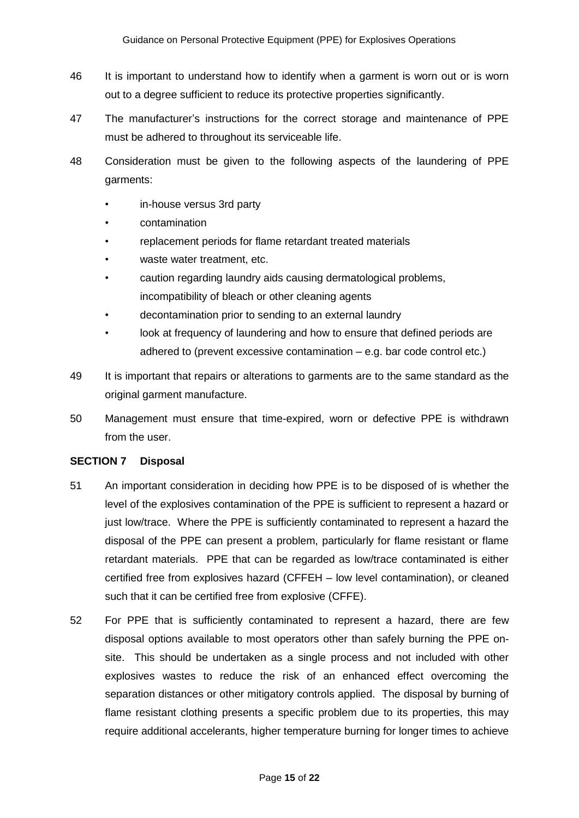- 46 It is important to understand how to identify when a garment is worn out or is worn out to a degree sufficient to reduce its protective properties significantly.
- 47 The manufacturer's instructions for the correct storage and maintenance of PPE must be adhered to throughout its serviceable life.
- 48 Consideration must be given to the following aspects of the laundering of PPE garments:
	- in-house versus 3rd party
	- contamination
	- replacement periods for flame retardant treated materials
	- waste water treatment, etc.
	- caution regarding laundry aids causing dermatological problems, incompatibility of bleach or other cleaning agents
	- decontamination prior to sending to an external laundry
	- look at frequency of laundering and how to ensure that defined periods are adhered to (prevent excessive contamination – e.g. bar code control etc.)
- 49 It is important that repairs or alterations to garments are to the same standard as the original garment manufacture.
- 50 Management must ensure that time-expired, worn or defective PPE is withdrawn from the user

#### **SECTION 7 Disposal**

- 51 An important consideration in deciding how PPE is to be disposed of is whether the level of the explosives contamination of the PPE is sufficient to represent a hazard or just low/trace. Where the PPE is sufficiently contaminated to represent a hazard the disposal of the PPE can present a problem, particularly for flame resistant or flame retardant materials. PPE that can be regarded as low/trace contaminated is either certified free from explosives hazard (CFFEH – low level contamination), or cleaned such that it can be certified free from explosive (CFFE).
- 52 For PPE that is sufficiently contaminated to represent a hazard, there are few disposal options available to most operators other than safely burning the PPE onsite. This should be undertaken as a single process and not included with other explosives wastes to reduce the risk of an enhanced effect overcoming the separation distances or other mitigatory controls applied. The disposal by burning of flame resistant clothing presents a specific problem due to its properties, this may require additional accelerants, higher temperature burning for longer times to achieve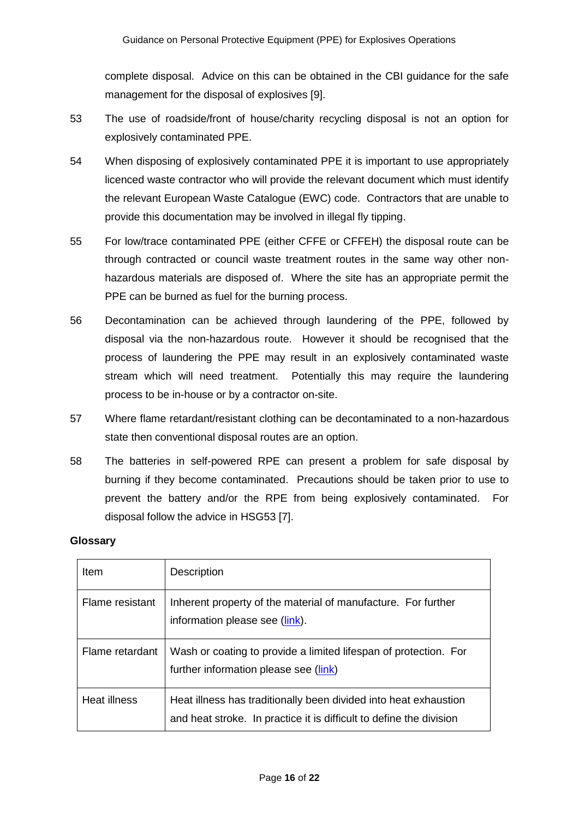complete disposal. Advice on this can be obtained in the CBI guidance for the safe management for the disposal of explosives [9].

- 53 The use of roadside/front of house/charity recycling disposal is not an option for explosively contaminated PPE.
- 54 When disposing of explosively contaminated PPE it is important to use appropriately licenced waste contractor who will provide the relevant document which must identify the relevant European Waste Catalogue (EWC) code. Contractors that are unable to provide this documentation may be involved in illegal fly tipping.
- 55 For low/trace contaminated PPE (either CFFE or CFFEH) the disposal route can be through contracted or council waste treatment routes in the same way other nonhazardous materials are disposed of. Where the site has an appropriate permit the PPE can be burned as fuel for the burning process.
- 56 Decontamination can be achieved through laundering of the PPE, followed by disposal via the non-hazardous route. However it should be recognised that the process of laundering the PPE may result in an explosively contaminated waste stream which will need treatment. Potentially this may require the laundering process to be in-house or by a contractor on-site.
- 57 Where flame retardant/resistant clothing can be decontaminated to a non-hazardous state then conventional disposal routes are an option.
- 58 The batteries in self-powered RPE can present a problem for safe disposal by burning if they become contaminated. Precautions should be taken prior to use to prevent the battery and/or the RPE from being explosively contaminated. For disposal follow the advice in HSG53 [7].

#### **Glossary**

| Item            | Description                                                                                                                             |
|-----------------|-----------------------------------------------------------------------------------------------------------------------------------------|
| Flame resistant | Inherent property of the material of manufacture. For further<br>information please see (link).                                         |
| Flame retardant | Wash or coating to provide a limited lifespan of protection. For<br>further information please see (link)                               |
| Heat illness    | Heat illness has traditionally been divided into heat exhaustion<br>and heat stroke. In practice it is difficult to define the division |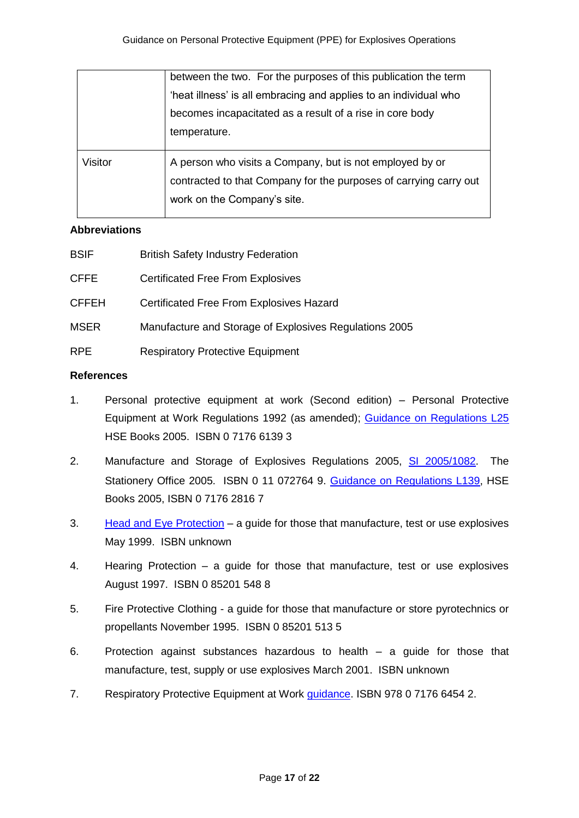|         | between the two. For the purposes of this publication the term                                                                                               |
|---------|--------------------------------------------------------------------------------------------------------------------------------------------------------------|
|         | 'heat illness' is all embracing and applies to an individual who                                                                                             |
|         | becomes incapacitated as a result of a rise in core body                                                                                                     |
|         | temperature.                                                                                                                                                 |
| Visitor | A person who visits a Company, but is not employed by or<br>contracted to that Company for the purposes of carrying carry out<br>work on the Company's site. |

## **Abbreviations**

| <b>BSIF</b>  | <b>British Safety Industry Federation</b>              |
|--------------|--------------------------------------------------------|
| <b>CFFE</b>  | <b>Certificated Free From Explosives</b>               |
| <b>CFFEH</b> | Certificated Free From Explosives Hazard               |
| <b>MSER</b>  | Manufacture and Storage of Explosives Regulations 2005 |
| <b>RPE</b>   | <b>Respiratory Protective Equipment</b>                |

## **References**

- 1. Personal protective equipment at work (Second edition) Personal Protective Equipment at Work Regulations 1992 (as amended); [Guidance on Regulations L25](http://www.hse.gov.uk/pubns/books/l25.htm) HSE Books 2005. ISBN 0 7176 6139 3
- 2. Manufacture and Storage of Explosives Regulations 2005, [SI 2005/1082](http://www.legislation.gov.uk/uksi/2005/1082/contents/made). The Stationery Office 2005. ISBN 0 11 072764 9. [Guidance on Regulations L139,](http://www.hse.gov.uk/pubns/books/l139.htm) HSE Books 2005, ISBN 0 7176 2816 7
- 3. [Head and Eye Protection](http://www.eig.org.uk/?page_id=473) a guide for those that manufacture, test or use explosives May 1999. ISBN unknown
- 4. Hearing Protection a guide for those that manufacture, test or use explosives August 1997. ISBN 0 85201 548 8
- 5. Fire Protective Clothing a guide for those that manufacture or store pyrotechnics or propellants November 1995. ISBN 0 85201 513 5
- 6. Protection against substances hazardous to health a guide for those that manufacture, test, supply or use explosives March 2001. ISBN unknown
- 7. Respiratory Protective Equipment at Work [guidance.](http://www.hse.gov.uk/pubns/books/hsg53.htm) ISBN 978 0 7176 6454 2.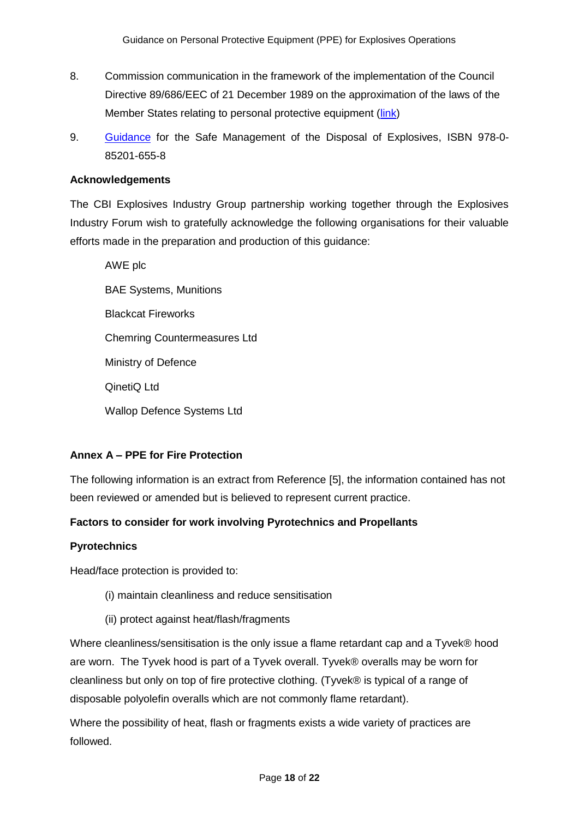- 8. Commission communication in the framework of the implementation of the Council Directive 89/686/EEC of 21 December 1989 on the approximation of the laws of the Member States relating to personal protective equipment [\(link\)](http://ec.europa.eu/enterprise/policies/european-standards/harmonised-standards/personal-protective-equipment/index_en.htm)
- 9. [Guidance](http://www.eig.org.uk/eig2007/?cat=41&paged=2) for the Safe Management of the Disposal of Explosives, ISBN 978-0- 85201-655-8

### **Acknowledgements**

The CBI Explosives Industry Group partnership working together through the Explosives Industry Forum wish to gratefully acknowledge the following organisations for their valuable efforts made in the preparation and production of this guidance:

AWE plc BAE Systems, Munitions Blackcat Fireworks Chemring Countermeasures Ltd Ministry of Defence QinetiQ Ltd Wallop Defence Systems Ltd

# **Annex A – PPE for Fire Protection**

The following information is an extract from Reference [5], the information contained has not been reviewed or amended but is believed to represent current practice.

# **Factors to consider for work involving Pyrotechnics and Propellants**

# **Pyrotechnics**

Head/face protection is provided to:

- (i) maintain cleanliness and reduce sensitisation
- (ii) protect against heat/flash/fragments

Where cleanliness/sensitisation is the only issue a flame retardant cap and a Tyvek® hood are worn. The Tyvek hood is part of a Tyvek overall. Tyvek® overalls may be worn for cleanliness but only on top of fire protective clothing. (Tyvek® is typical of a range of disposable polyolefin overalls which are not commonly flame retardant).

Where the possibility of heat, flash or fragments exists a wide variety of practices are followed.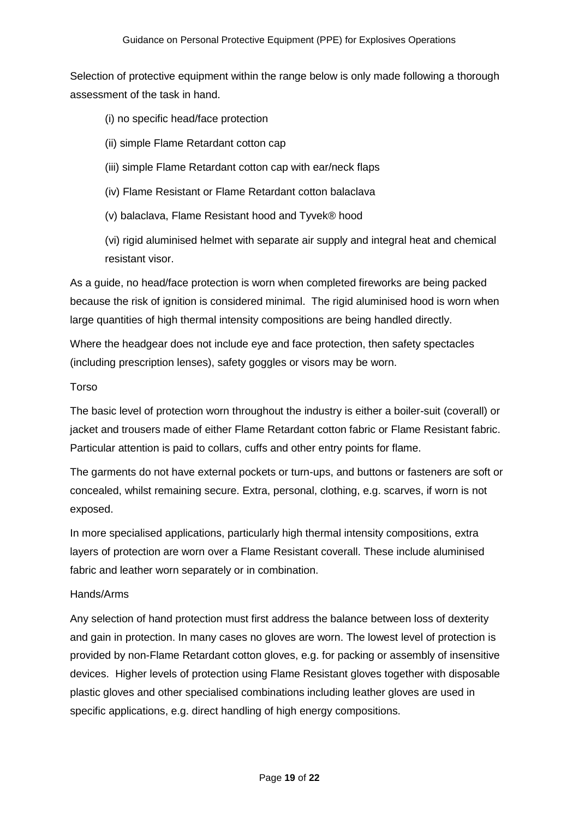Selection of protective equipment within the range below is only made following a thorough assessment of the task in hand.

(i) no specific head/face protection

(ii) simple Flame Retardant cotton cap

- (iii) simple Flame Retardant cotton cap with ear/neck flaps
- (iv) Flame Resistant or Flame Retardant cotton balaclava

(v) balaclava, Flame Resistant hood and Tyvek® hood

(vi) rigid aluminised helmet with separate air supply and integral heat and chemical resistant visor.

As a guide, no head/face protection is worn when completed fireworks are being packed because the risk of ignition is considered minimal. The rigid aluminised hood is worn when large quantities of high thermal intensity compositions are being handled directly.

Where the headgear does not include eye and face protection, then safety spectacles (including prescription lenses), safety goggles or visors may be worn.

#### Torso

The basic level of protection worn throughout the industry is either a boiler-suit (coverall) or jacket and trousers made of either Flame Retardant cotton fabric or Flame Resistant fabric. Particular attention is paid to collars, cuffs and other entry points for flame.

The garments do not have external pockets or turn-ups, and buttons or fasteners are soft or concealed, whilst remaining secure. Extra, personal, clothing, e.g. scarves, if worn is not exposed.

In more specialised applications, particularly high thermal intensity compositions, extra layers of protection are worn over a Flame Resistant coverall. These include aluminised fabric and leather worn separately or in combination.

#### Hands/Arms

Any selection of hand protection must first address the balance between loss of dexterity and gain in protection. In many cases no gloves are worn. The lowest level of protection is provided by non-Flame Retardant cotton gloves, e.g. for packing or assembly of insensitive devices. Higher levels of protection using Flame Resistant gloves together with disposable plastic gloves and other specialised combinations including leather gloves are used in specific applications, e.g. direct handling of high energy compositions.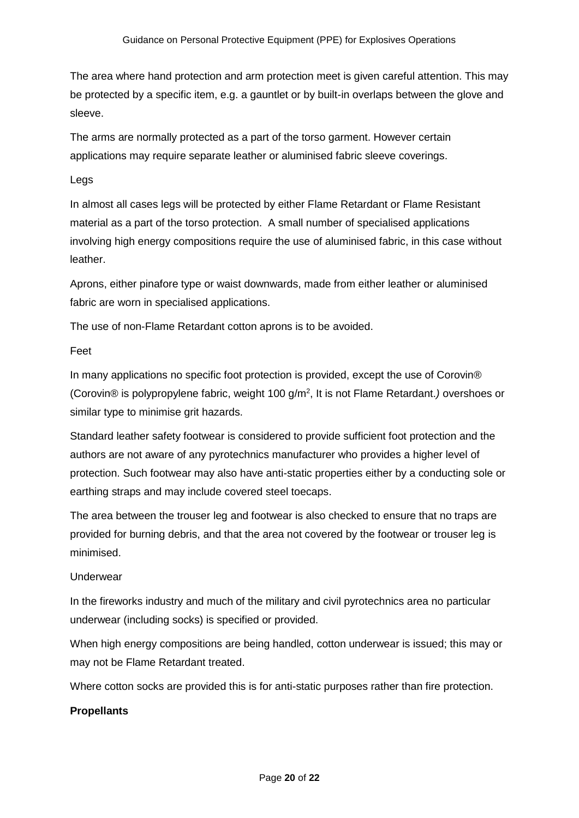The area where hand protection and arm protection meet is given careful attention. This may be protected by a specific item, e.g. a gauntlet or by built-in overlaps between the glove and sleeve.

The arms are normally protected as a part of the torso garment. However certain applications may require separate leather or aluminised fabric sleeve coverings.

## Legs

In almost all cases legs will be protected by either Flame Retardant or Flame Resistant material as a part of the torso protection. A small number of specialised applications involving high energy compositions require the use of aluminised fabric, in this case without leather.

Aprons, either pinafore type or waist downwards, made from either leather or aluminised fabric are worn in specialised applications.

The use of non-Flame Retardant cotton aprons is to be avoided.

# Feet

In many applications no specific foot protection is provided, except the use of Corovin® (Corovin® is polypropylene fabric, weight 100 g/m<sup>2</sup> , It is not Flame Retardant.*)* overshoes or similar type to minimise grit hazards.

Standard leather safety footwear is considered to provide sufficient foot protection and the authors are not aware of any pyrotechnics manufacturer who provides a higher level of protection. Such footwear may also have anti-static properties either by a conducting sole or earthing straps and may include covered steel toecaps.

The area between the trouser leg and footwear is also checked to ensure that no traps are provided for burning debris, and that the area not covered by the footwear or trouser leg is minimised.

# Underwear

In the fireworks industry and much of the military and civil pyrotechnics area no particular underwear (including socks) is specified or provided.

When high energy compositions are being handled, cotton underwear is issued; this may or may not be Flame Retardant treated.

Where cotton socks are provided this is for anti-static purposes rather than fire protection.

# **Propellants**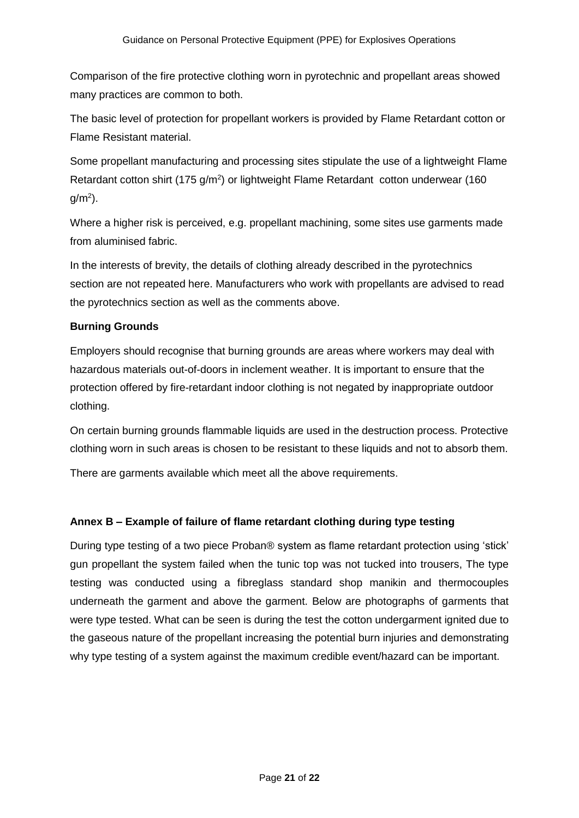Comparison of the fire protective clothing worn in pyrotechnic and propellant areas showed many practices are common to both.

The basic level of protection for propellant workers is provided by Flame Retardant cotton or Flame Resistant material.

Some propellant manufacturing and processing sites stipulate the use of a lightweight Flame Retardant cotton shirt (175  $g/m^2$ ) or lightweight Flame Retardant cotton underwear (160  $g/m<sup>2</sup>$ ).

Where a higher risk is perceived, e.g. propellant machining, some sites use garments made from aluminised fabric.

In the interests of brevity, the details of clothing already described in the pyrotechnics section are not repeated here. Manufacturers who work with propellants are advised to read the pyrotechnics section as well as the comments above.

# **Burning Grounds**

Employers should recognise that burning grounds are areas where workers may deal with hazardous materials out-of-doors in inclement weather. It is important to ensure that the protection offered by fire-retardant indoor clothing is not negated by inappropriate outdoor clothing.

On certain burning grounds flammable liquids are used in the destruction process. Protective clothing worn in such areas is chosen to be resistant to these liquids and not to absorb them.

There are garments available which meet all the above requirements.

# **Annex B – Example of failure of flame retardant clothing during type testing**

During type testing of a two piece Proban® system as flame retardant protection using 'stick' gun propellant the system failed when the tunic top was not tucked into trousers, The type testing was conducted using a fibreglass standard shop manikin and thermocouples underneath the garment and above the garment. Below are photographs of garments that were type tested. What can be seen is during the test the cotton undergarment ignited due to the gaseous nature of the propellant increasing the potential burn injuries and demonstrating why type testing of a system against the maximum credible event/hazard can be important.